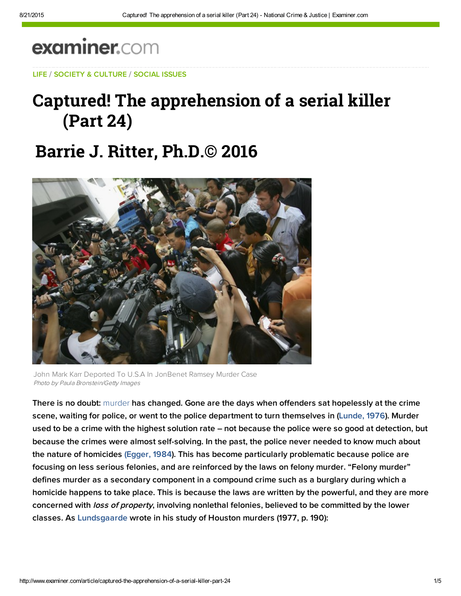# examiner.com

LIFE / SOCIETY & CULTURE / SOCIAL ISSUES

## Captured! The apprehension of a serial killer (Part 24)

## **Barrie J. Ritter, Ph.D.© 2016**



John Mark Karr Deported To U.S.A In JonBenet Ramsey Murder Case Photo by Paula Bronstein/Getty Images

There is no doubt: murder has changed. Gone are the days when offenders sat hopelessly at the crime scene, waiting for police, or went to the police department to turn themselves in ([Lunde,](http://bit.ly/1Hck0GK) 1976). Murder used to be a crime with the highest solution rate – not because the police were so good at detection, but because the crimes were almost self-solving. In the past, the police never needed to know much about the nature of homicides [\(Egger, 1984](http://bit.ly/18OrNvG)). This has become particularly problematic because police are focusing on less serious felonies, and are reinforced by the laws on felony murder. "Felony murder" defines murder as a secondary component in a compound crime such as a burglary during which a homicide happens to take place. This is because the laws are written by the powerful, and they are more concerned with loss of property, involving nonlethal felonies, believed to be committed by the lower classes. As [Lundsgaarde](http://amzn.to/1bk78RU) wrote in his study of Houston murders (1977, p. 190):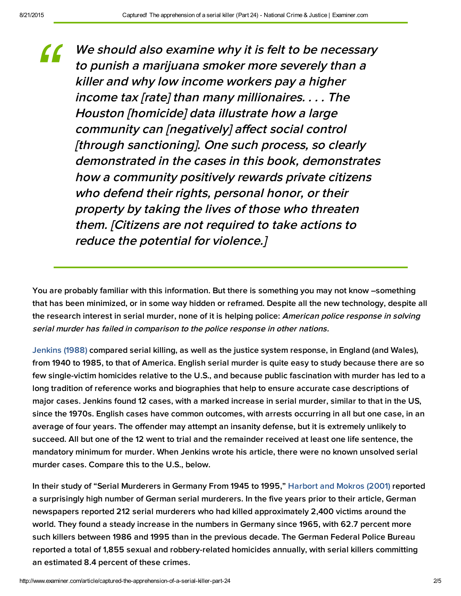We should also examine why it is felt to be necessary to punish <sup>a</sup> marijuana smoker more severely than <sup>a</sup> killer and why low income workers pay <sup>a</sup> higher income tax [rate] than many millionaires. . . . The Houston [homicide] data illustrate how <sup>a</sup> large community can [negatively] affect social control [through sanctioning]. One such process, so clearly demonstrated in the cases in this book, demonstrates how <sup>a</sup> community positively rewards private citizens who defend their rights, personal honor, or their property by taking the lives of those who threaten them. [Citizens are not required to take actions to reduce the potential for violence.] *"*

You are probably familiar with this information. But there is something you may not know –something that has been minimized, or in some way hidden or reframed. Despite all the new technology, despite all the research interest in serial murder, none of it is helping police: American police response in solving serial murder has failed in comparison to the police response in other nations.

[Jenkins](http://bit.ly/1ku10UD) (1988) compared serial killing, as well as the justice system response, in England (and Wales), from 1940 to 1985, to that of America. English serial murder is quite easy to study because there are so few single-victim homicides relative to the U.S., and because public fascination with murder has led to a long tradition of reference works and biographies that help to ensure accurate case descriptions of major cases. Jenkins found 12 cases, with a marked increase in serial murder, similar to that in the US, since the 1970s. English cases have common outcomes, with arrests occurring in all but one case, in an average of four years. The offender may attempt an insanity defense, but it is extremely unlikely to succeed. All but one of the 12 went to trial and the remainder received at least one life sentence, the mandatory minimum for murder. When Jenkins wrote his article, there were no known unsolved serial murder cases. Compare this to the U.S., below.

In their study of "Serial Murderers in Germany From 1945 to 1995," [Harbort](http://bit.ly/19FlCuV) and Mokros (2001) reported a surprisingly high number of German serial murderers. In the five years prior to their article, German newspapers reported 212 serial murderers who had killed approximately 2,400 victims around the world. They found a steady increase in the numbers in Germany since 1965, with 62.7 percent more such killers between 1986 and 1995 than in the previous decade. The German Federal Police Bureau reported a total of 1,855 sexual and robbery-related homicides annually, with serial killers committing an estimated 8.4 percent of these crimes.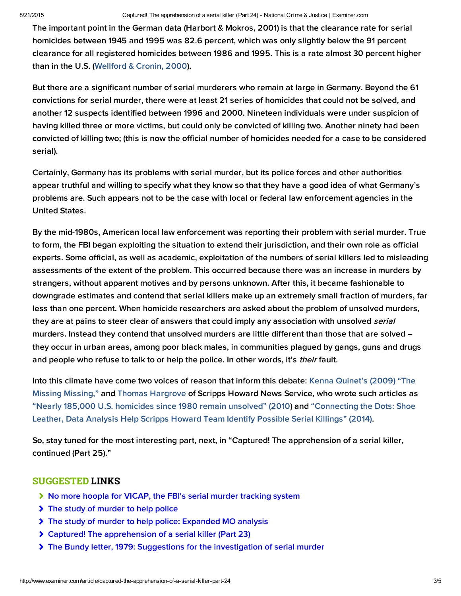#### 8/21/2015 Captured! The apprehension of a serial killer (Part 24) - National Crime & Justice | Examiner.com

The important point in the German data (Harbort & Mokros, 2001) is that the clearance rate for serial homicides between 1945 and 1995 was 82.6 percent, which was only slightly below the 91 percent clearance for all registered homicides between 1986 and 1995. This is a rate almost 30 percent higher than in the U.S. ([Wellford & Cronin, 2000\)](http://1.usa.gov/J5qsEG).

But there are a significant number of serial murderers who remain at large in Germany. Beyond the 61 convictions for serial murder, there were at least 21 series of homicides that could not be solved, and another 12 suspects identified between 1996 and 2000. Nineteen individuals were under suspicion of having killed three or more victims, but could only be convicted of killing two. Another ninety had been convicted of killing two; (this is now the official number of homicides needed for a case to be considered serial).

Certainly, Germany has its problems with serial murder, but its police forces and other authorities appear truthful and willing to specify what they know so that they have a good idea of what Germany's problems are. Such appears not to be the case with local or federal law enforcement agencies in the United States.

By the mid-1980s, American local law enforcement was reporting their problem with serial murder. True to form, the FBI began exploiting the situation to extend their jurisdiction, and their own role as official experts. Some official, as well as academic, exploitation of the numbers of serial killers led to misleading assessments of the extent of the problem. This occurred because there was an increase in murders by strangers, without apparent motives and by persons unknown. After this, it became fashionable to downgrade estimates and contend that serial killers make up an extremely small fraction of murders, far less than one percent. When homicide researchers are asked about the problem of unsolved murders, they are at pains to steer clear of answers that could imply any association with unsolved serial murders. Instead they contend that unsolved murders are little different than those that are solved – they occur in urban areas, among poor black males, in communities plagued by gangs, guns and drugs and people who refuse to talk to or help the police. In other words, it's their fault.

Into this climate have come two voices of reason that inform this debat[e: Kenna Quinet's \(2009\) "The](https://docs.google.com/viewer?url=http%3A%2F%2Fric-zai-inc.com%2FPublications%2Fcops-p266-pub.pdf) Missing Missing," and [Thomas Hargrove](http://bit.ly/1FMzjUY) of Scripps Howard News Service, who wrote such articles as ["Nearly 185,000 U.S. homicides since 1980 remain unsolved" \(2010\)](http://bit.ly/1FMzjUY) and ["Connecting the Dots: Shoe](http://bit.ly/1FO32wk) Leather, Data Analysis Help Scripps Howard Team Identify Possible Serial Killings" (2014).

So, stay tuned for the most interesting part, next, in "Captured! The apprehension of a serial killer, continued (Part 25)."

#### SUGGESTED LINKS

- [No more hoopla for VICAP, the FBI's serial murder tracking system](http://www.ritterhomicideresearch.com/articles/VICAP_the-FBIs-serial-murder-tracking-system.pdf)
- > [The study of murder to help police](http://www.ritterhomicideresearch.com/articles/The-study-of-murder-to-help-police.pdf)
- ◆ [The study of murder to help police: Expanded MO analysis](http://www.ritterhomicideresearch.com/articles/The-study-of-murder-to-help-police_Expanded-MO-analysis.pdf)
- [Captured! The apprehension of a serial killer \(Part 23\)](http://www.ritterhomicideresearch.com/articles/Part-23.pdf)
- [The Bundy letter, 1979: Suggestions for the investigation of serial murder](http://www.ritterhomicideresearch.com/articles/The-Bundy-letter-1979_Suggestions-for-investigation-of-serial-murder.pdf)